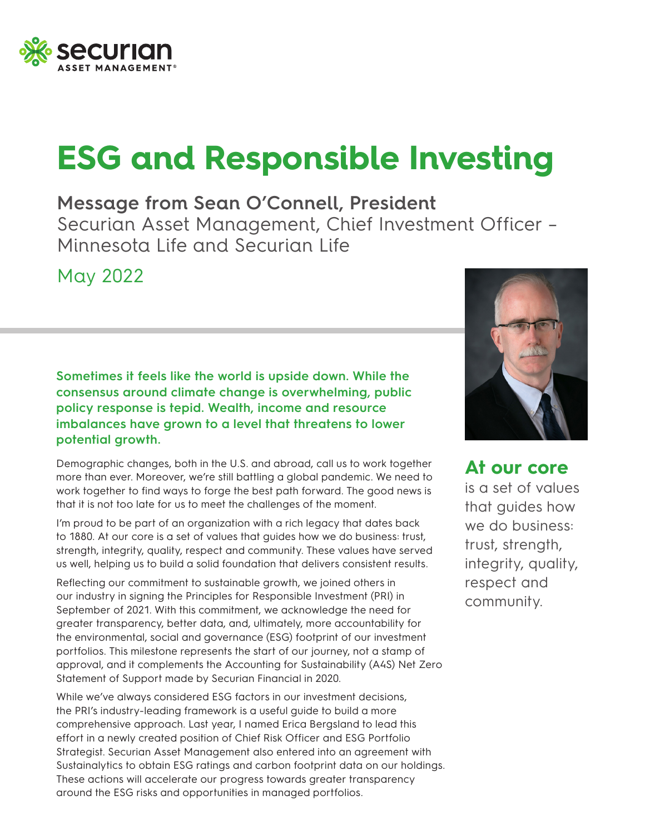

## **ESG and Responsible Investing**

**Message from Sean O'Connell, President** Securian Asset Management, Chief Investment Officer – Minnesota Life and Securian Life

May 2022

**Sometimes it feels like the world is upside down. While the consensus around climate change is overwhelming, public policy response is tepid. Wealth, income and resource imbalances have grown to a level that threatens to lower potential growth.**

Demographic changes, both in the U.S. and abroad, call us to work together more than ever. Moreover, we're still battling a global pandemic. We need to work together to find ways to forge the best path forward. The good news is that it is not too late for us to meet the challenges of the moment.

I'm proud to be part of an organization with a rich legacy that dates back to 1880. At our core is a set of values that guides how we do business: trust, strength, integrity, quality, respect and community. These values have served us well, helping us to build a solid foundation that delivers consistent results.

Reflecting our commitment to sustainable growth, we joined others in our industry in signing the Principles for Responsible Investment (PRI) in September of 2021. With this commitment, we acknowledge the need for greater transparency, better data, and, ultimately, more accountability for the environmental, social and governance (ESG) footprint of our investment portfolios. This milestone represents the start of our journey, not a stamp of approval, and it complements the Accounting for Sustainability (A4S) Net Zero Statement of Support made by Securian Financial in 2020.

While we've always considered ESG factors in our investment decisions, the PRI's industry-leading framework is a useful guide to build a more comprehensive approach. Last year, I named Erica Bergsland to lead this effort in a newly created position of Chief Risk Officer and ESG Portfolio Strategist. Securian Asset Management also entered into an agreement with Sustainalytics to obtain ESG ratings and carbon footprint data on our holdings. These actions will accelerate our progress towards greater transparency around the ESG risks and opportunities in managed portfolios.



**At our core** is a set of values that guides how we do business: trust, strength, integrity, quality, respect and community.